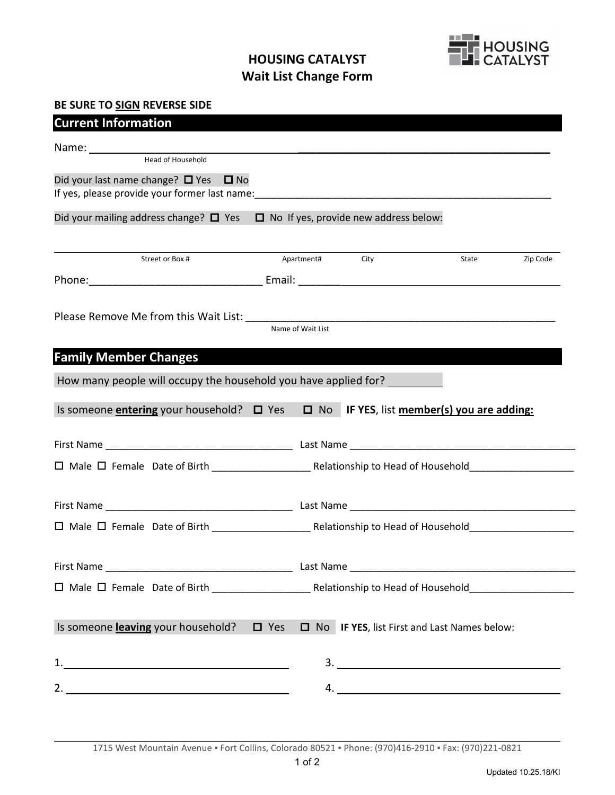## **HOUSING CATALYST Wait List Change Form**



## **BE SURE TO SIGN REVERSE SIDE**

| <b>Current Information</b>                                                                                                                                                                                                    |  |                   |      |                                                  |          |
|-------------------------------------------------------------------------------------------------------------------------------------------------------------------------------------------------------------------------------|--|-------------------|------|--------------------------------------------------|----------|
|                                                                                                                                                                                                                               |  |                   |      |                                                  |          |
|                                                                                                                                                                                                                               |  |                   |      |                                                  |          |
| Did your last name change? $\Box$ Yes $\Box$ No                                                                                                                                                                               |  |                   |      |                                                  |          |
| If yes, please provide your former last name: Notified that the control of the control of the control of the control of the control of the control of the control of the control of the control of the control of the control |  |                   |      |                                                  |          |
| Did your mailing address change? $\Box$ Yes $\Box$ No If yes, provide new address below:                                                                                                                                      |  |                   |      |                                                  |          |
|                                                                                                                                                                                                                               |  |                   |      |                                                  |          |
| Street or Box #                                                                                                                                                                                                               |  | Apartment#        | City | State                                            | Zip Code |
|                                                                                                                                                                                                                               |  |                   |      |                                                  |          |
|                                                                                                                                                                                                                               |  |                   |      |                                                  |          |
|                                                                                                                                                                                                                               |  |                   |      |                                                  |          |
|                                                                                                                                                                                                                               |  | Name of Wait List |      |                                                  |          |
| <b>Family Member Changes</b>                                                                                                                                                                                                  |  |                   |      |                                                  |          |
|                                                                                                                                                                                                                               |  |                   |      |                                                  |          |
| How many people will occupy the household you have applied for?                                                                                                                                                               |  |                   |      |                                                  |          |
| Is someone <i>entering</i> your household? □ Yes                                                                                                                                                                              |  |                   |      | $\Box$ No IF YES, list member(s) you are adding: |          |
|                                                                                                                                                                                                                               |  |                   |      |                                                  |          |
|                                                                                                                                                                                                                               |  |                   |      |                                                  |          |
|                                                                                                                                                                                                                               |  |                   |      |                                                  |          |
|                                                                                                                                                                                                                               |  |                   |      |                                                  |          |
|                                                                                                                                                                                                                               |  |                   |      |                                                  |          |
|                                                                                                                                                                                                                               |  |                   |      |                                                  |          |
|                                                                                                                                                                                                                               |  |                   |      |                                                  |          |
|                                                                                                                                                                                                                               |  |                   |      |                                                  |          |
|                                                                                                                                                                                                                               |  |                   |      |                                                  |          |
| Is someone leaving your household? $\Box$ Yes $\Box$ No IF YES, list First and Last Names below:                                                                                                                              |  |                   |      |                                                  |          |
|                                                                                                                                                                                                                               |  |                   |      |                                                  |          |
| 2. $\overline{\phantom{a}}$                                                                                                                                                                                                   |  |                   |      | 4.                                               |          |